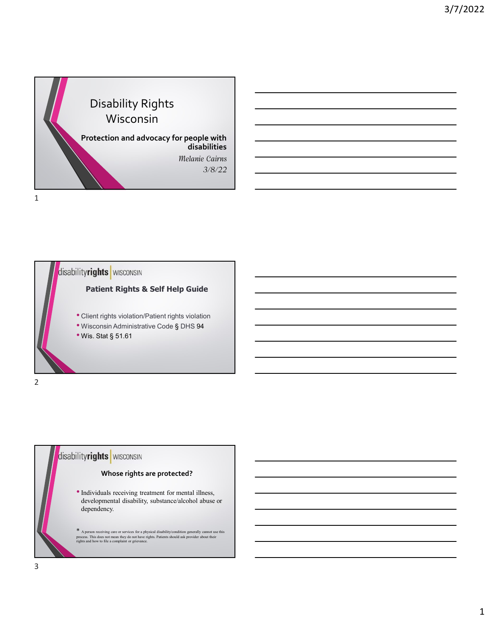



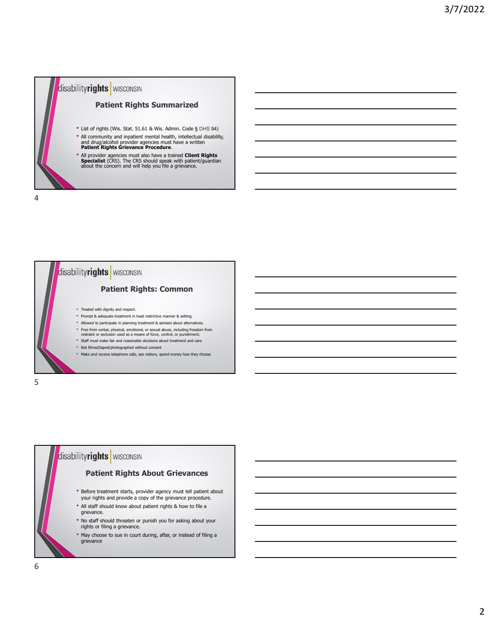



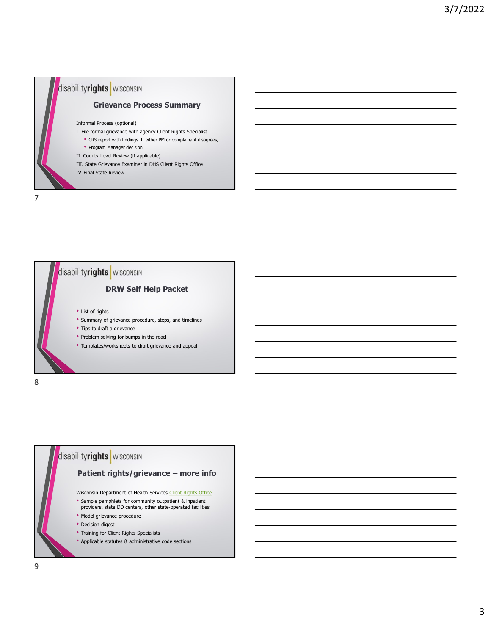